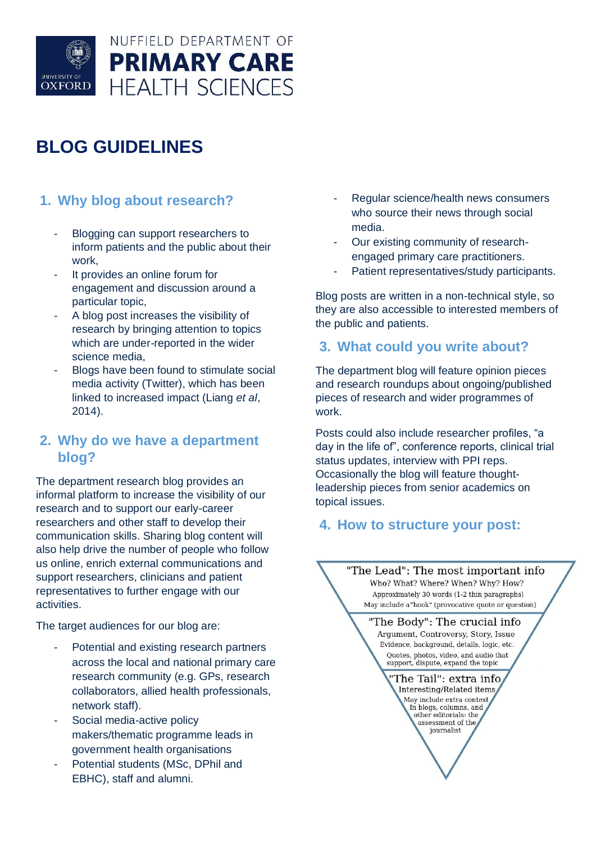

# **BLOG GUIDELINES**

## **1. Why blog about research?**

- Blogging can support researchers to inform patients and the public about their work,
- It provides an online forum for engagement and discussion around a particular topic,
- A blog post increases the visibility of research by bringing attention to topics which are under-reported in the wider science media,
- Blogs have been found to stimulate social media activity (Twitter), which has been linked to increased impact (Liang *et al*, 2014).

## **2. Why do we have a department blog?**

The department research blog provides an informal platform to increase the visibility of our research and to support our early-career researchers and other staff to develop their communication skills. Sharing blog content will also help drive the number of people who follow us online, enrich external communications and support researchers, clinicians and patient representatives to further engage with our activities.

The target audiences for our blog are:

- Potential and existing research partners across the local and national primary care research community (e.g. GPs, research collaborators, allied health professionals, network staff).
- Social media-active policy makers/thematic programme leads in government health organisations
- Potential students (MSc, DPhil and EBHC), staff and alumni.
- Regular science/health news consumers who source their news through social media.
- Our existing community of researchengaged primary care practitioners.
- Patient representatives/study participants.

Blog posts are written in a non-technical style, so they are also accessible to interested members of the public and patients.

## **3. What could you write about?**

The department blog will feature opinion pieces and research roundups about ongoing/published pieces of research and wider programmes of work.

Posts could also include researcher profiles, "a day in the life of", conference reports, clinical trial status updates, interview with PPI reps. Occasionally the blog will feature thoughtleadership pieces from senior academics on topical issues.

## **4. How to structure your post:**

"The Lead": The most important info Who? What? Where? When? Why? How? Approximately 30 words (1-2 thin paragraphs) May include a "hook" (provocative quote or question)

> "The Body": The crucial info Argument, Controversy, Story, Issue Evidence, background, details, logic, etc. Quotes, photos, video, and audio that support, dispute, expand the topic

> > "The Tail": extra info Interesting/Related items May include extra context In blogs, columns, and<br>other editorials: the assessment of the journalist